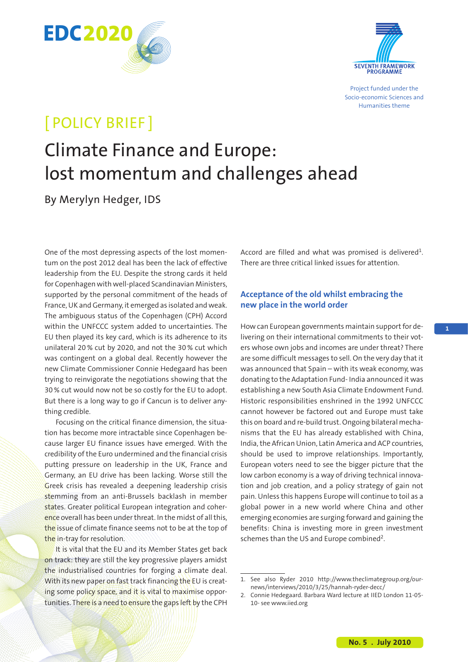



Project funded under the Socio-economic Sciences and Humanities theme

# [ POLICY BRIEF ]

# Climate Finance and Europe: lost momentum and challenges ahead

By Merylyn Hedger, IDS

One of the most depressing aspects of the lost momentum on the post 2012 deal has been the lack of effective leadership from the EU. Despite the strong cards it held for Copenhagen with well-placed Scandinavian Ministers, supported by the personal commitment of the heads of France, UK and Germany, it emerged as isolated and weak. The ambiguous status of the Copenhagen (CPH) Accord within the UNFCCC system added to uncertainties. The EU then played its key card, which is its adherence to its unilateral 20 % cut by 2020, and not the 30 % cut which was contingent on a global deal. Recently however the new Climate Commissioner Connie Hedegaard has been trying to reinvigorate the negotiations showing that the 30 % cut would now not be so costly for the EU to adopt. But there is a long way to go if Cancun is to deliver anything credible.

Focusing on the critical finance dimension, the situation has become more intractable since Copenhagen because larger EU finance issues have emerged. With the credibility of the Euro undermined and the financial crisis putting pressure on leadership in the UK, France and Germany, an EU drive has been lacking. Worse still the Greek crisis has revealed a deepening leadership crisis stemming from an anti-Brussels backlash in member states. Greater political European integration and coherence overall has been under threat. In the midst of all this, the issue of climate finance seems not to be at the top of the in-tray for resolution.

It is vital that the EU and its Member States get back on track: they are still the key progressive players amidst the industrialised countries for forging a climate deal. With its new paper on fast track financing the EU is creating some policy space, and it is vital to maximise opportunities. There is a need to ensure the gaps left by the CPH

Accord are filled and what was promised is delivered<sup>1</sup>. There are three critical linked issues for attention.

## **Acceptance of the old whilst embracing the new place in the world order**

How can European governments maintain support for delivering on their international commitments to their voters whose own jobs and incomes are under threat? There are some difficult messages to sell. On the very day that it was announced that Spain – with its weak economy, was donating to the Adaptation Fund- India announced it was establishing a new South Asia Climate Endowment Fund. Historic responsibilities enshrined in the 1992 UNFCCC cannot however be factored out and Europe must take this on board and re-build trust. Ongoing bilateral mechanisms that the EU has already established with China, India, the African Union, Latin America and ACP countries, should be used to improve relationships. Importantly, European voters need to see the bigger picture that the low carbon economy is a way of driving technical innovation and job creation, and a policy strategy of gain not pain. Unless this happens Europe will continue to toil as a global power in a new world where China and other emerging economies are surging forward and gaining the benefits: China is investing more in green investment schemes than the US and Europe combined<sup>2</sup>.

<sup>1.</sup> See also Ryder 2010 http://www.theclimategroup.org/ournews/interviews/2010/3/25/hannah-ryder-decc/

<sup>2.</sup> Connie Hedegaard. Barbara Ward lecture at IIED London 11-05- 10- see www.iied.org